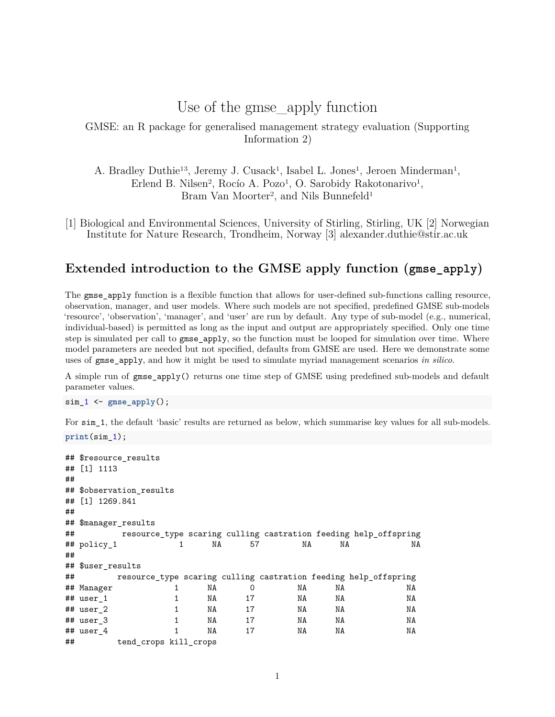# Use of the gmse\_apply function

#### <span id="page-0-0"></span>GMSE: an R package for generalised management strategy evaluation (Supporting Information 2)

A. Bradley Duthie<sup>13</sup>, Jeremy J. Cusack<sup>1</sup>, Isabel L. Jones<sup>1</sup>, Jeroen Minderman<sup>1</sup>, Erlend B. Nilsen<sup>2</sup>, Rocío A. Pozo<sup>1</sup>, O. Sarobidy Rakotonarivo<sup>1</sup>, Bram Van Moorter<sup>2</sup>, and Nils Bunnefeld<sup>1</sup>

[1] Biological and Environmental Sciences, University of Stirling, Stirling, UK [2] Norwegian Institute for Nature Research, Trondheim, Norway [3] [alexander.duthie@stir.ac.uk](mailto:alexander.duthie@stir.ac.uk)

### **Extended introduction to the GMSE apply function (gmse\_apply)**

The gmse apply function is a flexible function that allows for user-defined sub-functions calling resource, observation, manager, and user models. Where such models are not specified, predefined GMSE sub-models 'resource', 'observation', 'manager', and 'user' are run by default. Any type of sub-model (e.g., numerical, individual-based) is permitted as long as the input and output are appropriately specified. Only one time step is simulated per call to gmse\_apply, so the function must be looped for simulation over time. Where model parameters are needed but not specified, defaults from GMSE are used. Here we demonstrate some uses of gmse\_apply, and how it might be used to simulate myriad management scenarios *in silico*.

A simple run of gmse\_apply() returns one time step of GMSE using predefined sub-models and default parameter values.

sim\_1 <- **gmse\_apply**();

For  $\sin 1$ , the default 'basic' results are returned as below, which summarise key values for all sub-models.

```
print(sim_1);
```

| ## | ## \$resource results<br>## [1] 1113 |                       |   |    |    |    |    |                                                                 |  |  |  |
|----|--------------------------------------|-----------------------|---|----|----|----|----|-----------------------------------------------------------------|--|--|--|
|    | ## \$observation_results             |                       |   |    |    |    |    |                                                                 |  |  |  |
|    | ## [1] 1269.841                      |                       |   |    |    |    |    |                                                                 |  |  |  |
| ## |                                      |                       |   |    |    |    |    |                                                                 |  |  |  |
|    | ## \$manager_results                 |                       |   |    |    |    |    |                                                                 |  |  |  |
| ## |                                      |                       |   |    |    |    |    | resource_type scaring culling castration feeding help_offspring |  |  |  |
|    | ## policy 1                          |                       | 1 | NA | 57 | NA | NA | NA                                                              |  |  |  |
| ## |                                      |                       |   |    |    |    |    |                                                                 |  |  |  |
|    | ## \$user results                    |                       |   |    |    |    |    |                                                                 |  |  |  |
| ## |                                      |                       |   |    |    |    |    | resource_type scaring culling castration feeding help_offspring |  |  |  |
|    | ## Manager                           |                       | 1 | NA | 0  | NA | NA | NA                                                              |  |  |  |
|    | ## user 1                            |                       | 1 | NA | 17 | NA | NA | NA                                                              |  |  |  |
|    | ## user 2                            |                       | 1 | NA | 17 | NA | NA | NA                                                              |  |  |  |
|    | ## user 3                            |                       | 1 | NA | 17 | NA | NA | NA                                                              |  |  |  |
|    | ## user 4                            |                       |   | NA | 17 | NA | NA | NA                                                              |  |  |  |
| ## |                                      | tend_crops kill_crops |   |    |    |    |    |                                                                 |  |  |  |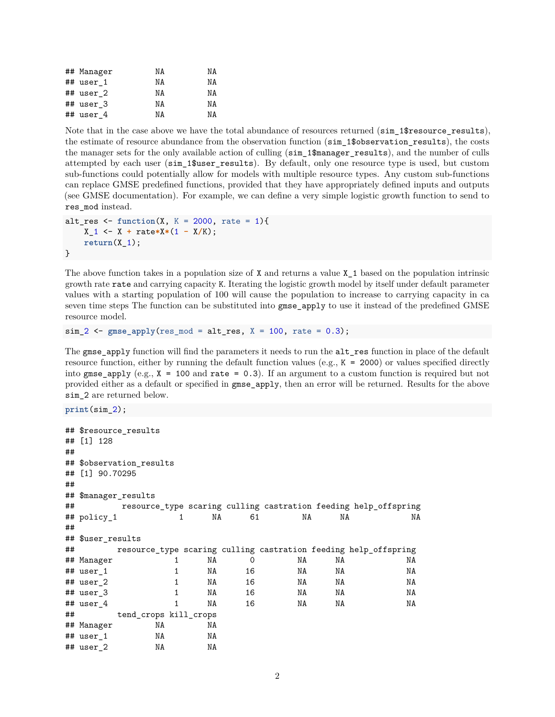| ## Manager | ΝA | ΝA |
|------------|----|----|
| ## user 1  | ΝA | ΝA |
| ## user 2  | NΑ | ΝA |
| ## user 3  | ΝA | ΝA |
| ## user 4  | ΝA | ΝA |

Note that in the case above we have the total abundance of resources returned (sim 1\$resource results), the estimate of resource abundance from the observation function (sim\_1\$observation\_results), the costs the manager sets for the only available action of culling (sim\_1\$manager\_results), and the number of culls attempted by each user (sim\_1\$user\_results). By default, only one resource type is used, but custom sub-functions could potentially allow for models with multiple resource types. Any custom sub-functions can replace GMSE predefined functions, provided that they have appropriately defined inputs and outputs (see [GMSE documentation\)](https://cran.r-project.org/web/packages/GMSE/GMSE.pdf). For example, we can define a very simple logistic growth function to send to res\_mod instead.

```
alt_res \le function(X, K = 2000, rate = 1){
   X_1 <- X + rate*X*(1 - X/K);
    return(X_1);}
```
The above function takes in a population size of X and returns a value X\_1 based on the population intrinsic growth rate rate and carrying capacity K. Iterating the logistic growth model by itself under default parameter values with a starting population of 100 will cause the population to increase to carrying capacity in ca seven time steps The function can be substituted into gmse\_apply to use it instead of the predefined GMSE resource model.

```
sim_2 <- gmse_apply(res_mod = alt_res, X = 100, rate = 0.3);
```
The gmse\_apply function will find the parameters it needs to run the alt\_res function in place of the default resource function, either by running the default function values (e.g., K = 2000) or values specified directly into gmse\_apply (e.g.,  $X = 100$  and rate = 0.3). If an argument to a custom function is required but not provided either as a default or specified in gmse\_apply, then an error will be returned. Results for the above sim 2 are returned below.

```
print(sim_2);
```

```
## $resource_results
## [1] 128
##
## $observation_results
## [1] 90.70295
##
## $manager_results
## resource_type scaring culling castration feeding help_offspring
## policy_1 1 NA 61 NA NA NA
##
## $user_results
## resource type scaring culling castration feeding help offspring
## Manager 1 NA 0 NA NA NA
## user_1 1 NA 16 NA NA NA
## user_2 1 NA 16 NA NA NA
## user_3 1 NA 16 NA NA NA
## user_4 1 NA 16 NA NA NA
## tend_crops kill_crops
## Manager NA NA
## user_1 NA NA
## user_2 NA NA
```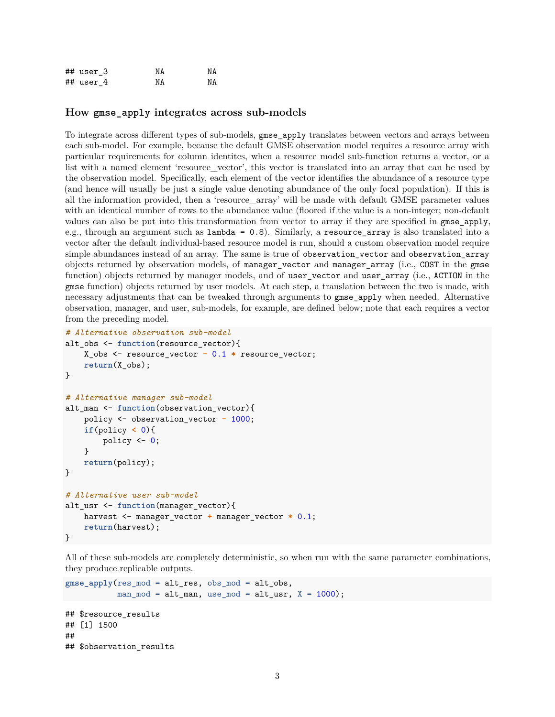| ## user 3   | ΝA | NΑ |
|-------------|----|----|
| $##$ user 4 | NΑ | ΝA |

#### **How gmse\_apply integrates across sub-models**

To integrate across different types of sub-models, gmse\_apply translates between vectors and arrays between each sub-model. For example, because the default GMSE observation model requires a resource array with particular requirements for column identites, when a resource model sub-function returns a vector, or a list with a named element 'resource\_vector', this vector is translated into an array that can be used by the observation model. Specifically, each element of the vector identifies the abundance of a resource type (and hence will usually be just a single value denoting abundance of the only focal population). If this is all the information provided, then a 'resource\_array' will be made with default GMSE parameter values with an identical number of rows to the abundance value (floored if the value is a non-integer; non-default values can also be put into this transformation from vector to array if they are specified in gmse\_apply, e.g., through an argument such as lambda = 0.8). Similarly, a resource\_array is also translated into a vector after the default individual-based resource model is run, should a custom observation model require simple abundances instead of an array. The same is true of observation\_vector and observation\_array objects returned by observation models, of manager\_vector and manager\_array (i.e., COST in the gmse function) objects returned by manager models, and of user\_vector and user\_array (i.e., ACTION in the gmse function) objects returned by user models. At each step, a translation between the two is made, with necessary adjustments that can be tweaked through arguments to gmse\_apply when needed. Alternative observation, manager, and user, sub-models, for example, are defined below; note that each requires a vector from the preceding model.

```
# Alternative observation sub-model
alt_obs <- function(resource_vector){
    X_obs <- resource_vector - 0.1 * resource_vector;
    return(X_obs);
}
# Alternative manager sub-model
alt_man <- function(observation_vector){
    policy <- observation_vector - 1000;
    if(policy < 0){
        policy \leftarrow 0;
    }
    return(policy);
}
# Alternative user sub-model
alt usr <- function(manager vector){
    harvest <- manager_vector + manager_vector * 0.1;
    return(harvest);
}
```
All of these sub-models are completely deterministic, so when run with the same parameter combinations, they produce replicable outputs.

```
gmse_apply(res_mod = alt_res, obs_mod = alt_obs,
           man_mod = alt\_man, use_mod = alt\_usr, X = 1000;
## $resource results
## [1] 1500
##
## $observation_results
```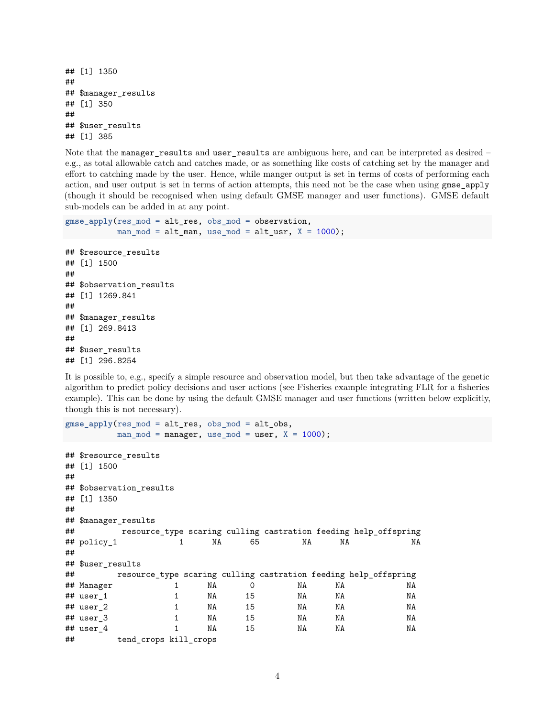```
## [1] 1350
##
## $manager_results
## [1] 350
##
## $user_results
## [1] 385
```
Note that the manager\_results and user\_results are ambiguous here, and can be interpreted as desired – e.g., as total allowable catch and catches made, or as something like costs of catching set by the manager and effort to catching made by the user. Hence, while manger output is set in terms of costs of performing each action, and user output is set in terms of action attempts, this need not be the case when using gmse\_apply (though it should be recognised when using default GMSE manager and user functions). GMSE default sub-models can be added in at any point.

```
gmse_apply(res_mod = alt_res, obs_mod = observation,
           man_mod = alt\_man, use_mod = alt\_usr, X = 1000;
## $resource_results
## [1] 1500
##
## $observation_results
## [1] 1269.841
##
## $manager_results
## [1] 269.8413
##
## $user_results
## [1] 296.8254
```
It is possible to, e.g., specify a simple resource and observation model, but then take advantage of the genetic algorithm to predict policy decisions and user actions (see [Fisheries example integrating FLR](#page-0-0) for a fisheries example). This can be done by using the default GMSE manager and user functions (written below explicitly, though this is not necessary).

```
gmse_apply(res_mod = alt_res, obs_mod = alt_obs,
       man_model = manager, use_model = user, X = 1000);## $resource_results
## [1] 1500
##
## $observation_results
## [1] 1350
##
## $manager_results
## resource_type scaring culling castration feeding help_offspring
## policy_1 1 NA 65 NA NA NA
##
## $user_results
## resource_type scaring culling castration feeding help_offspring
## Manager 1 NA 0 NA NA NA
## user_1 1 NA 15 NA NA NA
## user_2 1 NA 15 NA NA NA
## user_3 1 NA 15 NA NA NA
## user_4 1 NA 15 NA NA NA
## tend_crops kill_crops
```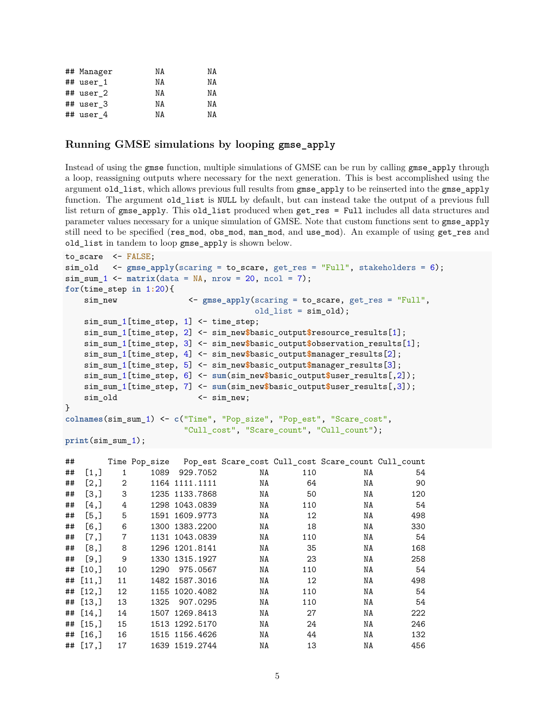| ## Manager   | ΝA | ΝA |
|--------------|----|----|
| ## user 1    | ΝA | ΝA |
| ## user 2    | ΝA | ΝA |
| ## user 3    | ΝA | ΝA |
| $#$ # user 4 | ΝA | NΑ |

#### **Running GMSE simulations by looping gmse\_apply**

Instead of using the gmse function, multiple simulations of GMSE can be run by calling gmse\_apply through a loop, reassigning outputs where necessary for the next generation. This is best accomplished using the argument old\_list, which allows previous full results from gmse\_apply to be reinserted into the gmse\_apply function. The argument old\_list is NULL by default, but can instead take the output of a previous full list return of gmse\_apply. This old\_list produced when get\_res = Full includes all data structures and parameter values necessary for a unique simulation of GMSE. Note that custom functions sent to gmse\_apply still need to be specified (res mod, obs mod, man mod, and use mod). An example of using get res and old\_list in tandem to loop gmse\_apply is shown below.

```
to_scare <- FALSE;
sim_old <- gmse_apply(scaring = to_scare, get_res = "Full", stakeholders = 6);
sim\_sum_1 <- matrix(data = NA, nrow = 20, ncol = 7);for(time_step in 1:20){
   sim_new <- gmse_apply(scaring = to_scare, get_res = "Full",
                                       old_list = sim_old);
   sim_sum_1[time_step, 1] <- time_step;
   sim_sum_1[time_step, 2] <- sim_new$basic_output$resource_results[1];
   sim_sum_1[time_step, 3] <- sim_new$basic_output$observation_results[1];
   sim_sum_1[time_step, 4] <- sim_new$basic_output$manager_results[2];
   sim_sum_1[time_step, 5] <- sim_new$basic_output$manager_results[3];
   sim_sum_1[time_step, 6] <- sum(sim_new$basic_output$user_results[,2]);
   sim_sum_1[time_step, 7] <- sum(sim_new$basic_output$user_results[,3]);
   sim_old \leftarrow sim_new;
}
colnames(sim_sum_1) <- c("Time", "Pop_size", "Pop_est", "Scare_cost",
                        "Cull cost", "Scare count", "Cull count");
print(sim_sum_1);
```

| ## |              |    |      |                |    |     | Time Pop_size Pop_est Scare_cost Cull_cost Scare_count Cull_count |     |
|----|--------------|----|------|----------------|----|-----|-------------------------------------------------------------------|-----|
| ## | [1,]         | 1  | 1089 | 929.7052       | NA | 110 | NA                                                                | 54  |
| ## | [2,]         | 2  |      | 1164 1111.1111 | NA | 64  | NA                                                                | 90  |
| ## | [3,]         | 3  |      | 1235 1133.7868 | NA | 50  | NA                                                                | 120 |
| ## | [4,]         | 4  |      | 1298 1043.0839 | NA | 110 | NA                                                                | 54  |
| ## | [5,]         | 5  |      | 1591 1609.9773 | NA | 12  | NA                                                                | 498 |
| ## | [6,          | 6  |      | 1300 1383.2200 | NA | 18  | NA                                                                | 330 |
| ## | [7,]         | 7  |      | 1131 1043.0839 | NA | 110 | NA                                                                | 54  |
| ## | [8,]         | 8  |      | 1296 1201.8141 | NA | 35  | NA                                                                | 168 |
| ## | [9,]         | 9  |      | 1330 1315.1927 | NA | 23  | NA                                                                | 258 |
|    | $\#$ # [10,] | 10 | 1290 | 975.0567       | NA | 110 | NA                                                                | 54  |
|    | ## $[11,]$   | 11 |      | 1482 1587.3016 | NA | 12  | NA                                                                | 498 |
|    | $##$ [12,]   | 12 |      | 1155 1020.4082 | NA | 110 | ΝA                                                                | 54  |
|    | $##$ [13,]   | 13 | 1325 | 907.0295       | NA | 110 | NA                                                                | 54  |
|    | ## $[14.]$   | 14 |      | 1507 1269.8413 | NA | 27  | NA                                                                | 222 |
|    | $##$ [15,]   | 15 |      | 1513 1292.5170 | NA | 24  | NA                                                                | 246 |
|    | $##$ [16,]   | 16 |      | 1515 1156.4626 | NA | 44  | NA                                                                | 132 |
|    | ## $[17, ]$  | 17 |      | 1639 1519.2744 | NA | 13  | NA                                                                | 456 |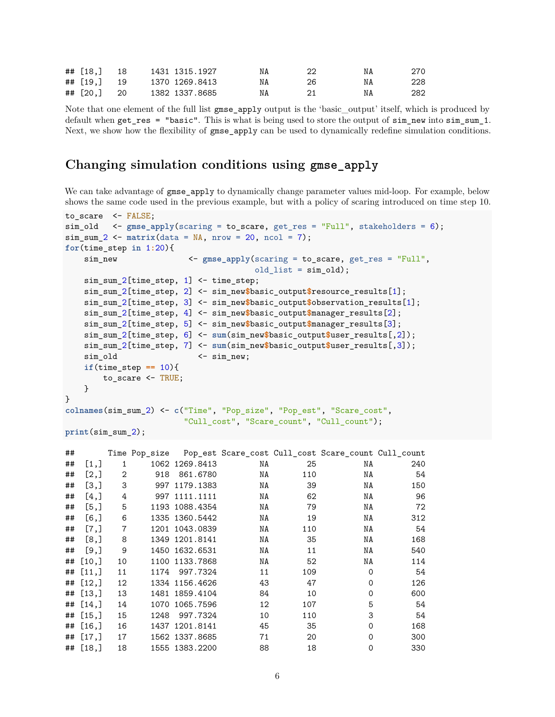| ## [18,] 18   |  | 1431 1315.1927 | NA | ΝA | 270 |
|---------------|--|----------------|----|----|-----|
| ## [19, ] 19  |  | 1370 1269.8413 | NA | ΝA | 228 |
| $\#$ [20,] 20 |  | 1382 1337.8685 | NA | NA | 282 |

Note that one element of the full list gmse\_apply output is the 'basic\_output' itself, which is produced by default when get\_res = "basic". This is what is being used to store the output of sim\_new into sim\_sum\_1. Next, we show how the flexibility of gmse apply can be used to dynamically redefine simulation conditions.

## **Changing simulation conditions using gmse\_apply**

We can take advantage of gmse apply to dynamically change parameter values mid-loop. For example, below shows the same code used in the previous example, but with a policy of scaring introduced on time step 10.

```
to_scare <- FALSE;
sim_old <- gmse_apply(scaring = to_scare, get_res = "Full", stakeholders = 6);
sim\_sum_2 <- matrix(data = NA, nrow = 20, ncol = 7);for(time_step in 1:20){
   sim_new <- gmse_apply(scaring = to_scare, get_res = "Full",
                                      old_list = sim_old);
   sim_sum_2[time_step, 1] <- time_step;
   sim_sum_2[time_step, 2] <- sim_new$basic_output$resource_results[1];
   sim_sum_2[time_step, 3] <- sim_new$basic_output$observation_results[1];
   sim_sum_2[time_step, 4] <- sim_new$basic_output$manager_results[2];
   sim_sum_2[time_step, 5] <- sim_new$basic_output$manager_results[3];
   sim_sum_2[time_step, 6] <- sum(sim_new$basic_output$user_results[,2]);
   sim_sum_2[time_step, 7] <- sum(sim_new$basic_output$user_results[,3]);
   sim_old <- sim_new;
   if(time_step == 10){
       to_scare <- TRUE;
   }
}
colnames(sim_sum_2) <- c("Time", "Pop_size", "Pop_est", "Scare_cost",
                        "Cull_cost", "Scare_count", "Cull_count");
```

```
print(sim_sum_2);
```

| ## |            |                |      |                |    |     | Time Pop size Pop est Scare cost Cull cost Scare count Cull count |     |
|----|------------|----------------|------|----------------|----|-----|-------------------------------------------------------------------|-----|
| ## | [1,]       | 1              |      | 1062 1269.8413 | NA | 25  | NA                                                                | 240 |
| ## | [2,]       | $\overline{2}$ | 918  | 861.6780       | NA | 110 | NA                                                                | 54  |
| ## | [3,]       | 3              |      | 997 1179.1383  | NA | 39  | NA                                                                | 150 |
| ## | $[4,$ ]    | 4              |      | 997 1111.1111  | NA | 62  | NA                                                                | 96  |
| ## | [5,]       | 5              |      | 1193 1088.4354 | NA | 79  | NA                                                                | 72  |
| ## | [6,]       | 6              |      | 1335 1360.5442 | NA | 19  | NA                                                                | 312 |
| ## | [7,]       | 7              |      | 1201 1043.0839 | NA | 110 | NA                                                                | 54  |
| ## | [8,]       | 8              |      | 1349 1201.8141 | NA | 35  | NA                                                                | 168 |
| ## | [9,]       | 9              |      | 1450 1632.6531 | NA | 11  | NA                                                                | 540 |
| ## | [10,]      | 10             |      | 1100 1133.7868 | NA | 52  | NA                                                                | 114 |
|    | ## [11, ]  | 11             | 1174 | 997.7324       | 11 | 109 | $\Omega$                                                          | 54  |
|    | ## [12, ]  | 12             |      | 1334 1156.4626 | 43 | 47  | 0                                                                 | 126 |
|    | ## [13, ]  | 13             |      | 1481 1859.4104 | 84 | 10  | 0                                                                 | 600 |
|    | ## $[14,]$ | 14             |      | 1070 1065.7596 | 12 | 107 | 5                                                                 | 54  |
|    | ## [15,]   | 15             | 1248 | 997.7324       | 10 | 110 | 3                                                                 | 54  |
|    | $##$ [16,] | 16             |      | 1437 1201.8141 | 45 | 35  | $\Omega$                                                          | 168 |
|    | ## $[17,]$ | 17             |      | 1562 1337.8685 | 71 | 20  | $\Omega$                                                          | 300 |
|    | $##$ [18,] | 18             |      | 1555 1383.2200 | 88 | 18  | $\Omega$                                                          | 330 |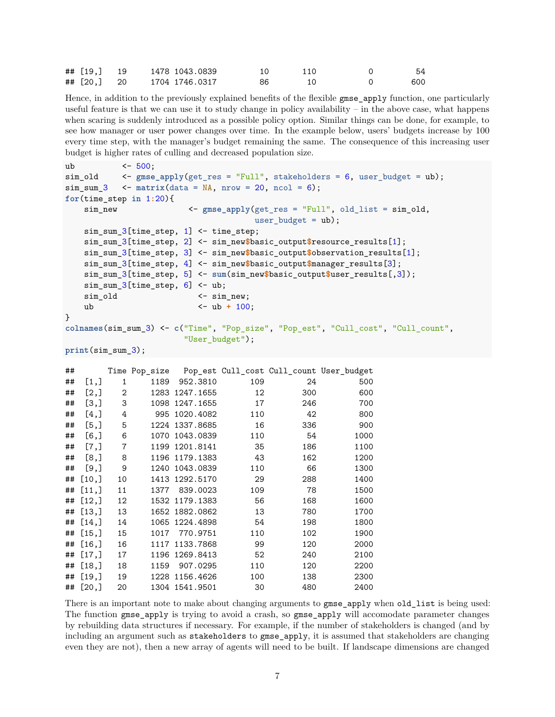| ## [19,] 19 | 1478 1043.0839 |      | 110 | 54  |
|-------------|----------------|------|-----|-----|
| ## [20,] 20 | 1704 1746.0317 | - 86 |     | 600 |

Hence, in addition to the previously explained benefits of the flexible gmse\_apply function, one particularly useful feature is that we can use it to study change in policy availability – in the above case, what happens when scaring is suddenly introduced as a possible policy option. Similar things can be done, for example, to see how manager or user power changes over time. In the example below, users' budgets increase by 100 every time step, with the manager's budget remaining the same. The consequence of this increasing user budget is higher rates of culling and decreased population size.

```
ub <- 500;
sim_old <- gmse_apply(get_res = "Full", stakeholders = 6, user_budget = ub);
sim\_sum_3 < matrix(data = NA, nrow = 20, ncol = 6);for(time_step in 1:20){
   sim_new <- gmse_apply(get_res = "Full", old_list = sim_old,
                                     user budget = ub);
   sim_sum_3[time_step, 1] <- time_step;
   sim sum 3[time_step, 2] <- sim_new$basic_output$resource_results[1];
   sim_sum_3[time_step, 3] <- sim_new$basic_output$observation_results[1];
   sim_sum_3[time_step, 4] <- sim_new$basic_output$manager_results[3];
   sim_sum_3[time_step, 5] <- sum(sim_new$basic_output$user_results[,3]);
   sim\_sum_3[time\_step, 6] <- ub;
   sim_old <- sim_new;
   ub <- ub + 100;
}
colnames(sim_sum_3) <- c("Time", "Pop_size", "Pop_est", "Cull_cost", "Cull_count",
                       "User_budget");
print(sim_sum_3);
```

| ## |       |              |      |                |     |     | Time Pop_size Pop_est Cull_cost Cull_count User_budget |
|----|-------|--------------|------|----------------|-----|-----|--------------------------------------------------------|
| ## | [1,]  | $\mathbf{1}$ | 1189 | 952.3810       | 109 | 24  | 500                                                    |
| ## | [2,]  | 2            |      | 1283 1247.1655 | 12  | 300 | 600                                                    |
| ## | [3,]  | 3            |      | 1098 1247.1655 | 17  | 246 | 700                                                    |
| ## | [4,]  | 4            | 995  | 1020.4082      | 110 | 42  | 800                                                    |
| ## | [5,]  | 5            |      | 1224 1337.8685 | 16  | 336 | 900                                                    |
| ## | [6,   | 6            | 1070 | 1043.0839      | 110 | 54  | 1000                                                   |
| ## | [7,   | 7            | 1199 | 1201.8141      | 35  | 186 | 1100                                                   |
| ## | [8,]  | 8            | 1196 | 1179.1383      | 43  | 162 | 1200                                                   |
| ## | [9,]  | 9            | 1240 | 1043.0839      | 110 | 66  | 1300                                                   |
| ## | [10,] | 10           | 1413 | 1292.5170      | 29  | 288 | 1400                                                   |
| ## | [11,] | 11           | 1377 | 839,0023       | 109 | 78  | 1500                                                   |
| ## | [12,] | 12           |      | 1532 1179.1383 | 56  | 168 | 1600                                                   |
| ## | [13,] | 13           |      | 1652 1882.0862 | 13  | 780 | 1700                                                   |
| ## | [14,] | 14           |      | 1065 1224.4898 | 54  | 198 | 1800                                                   |
| ## | [15,] | 15           | 1017 | 770.9751       | 110 | 102 | 1900                                                   |
| ## | [16,] | 16           | 1117 | 1133.7868      | 99  | 120 | 2000                                                   |
| ## | [17,] | 17           | 1196 | 1269.8413      | 52  | 240 | 2100                                                   |
| ## | [18,] | 18           | 1159 | 907.0295       | 110 | 120 | 2200                                                   |
| ## | [19,] | 19           | 1228 | 1156.4626      | 100 | 138 | 2300                                                   |
| ## | [20,] | 20           |      | 1304 1541.9501 | 30  | 480 | 2400                                                   |

There is an important note to make about changing arguments to gmse\_apply when old\_list is being used: The function gmse apply is trying to avoid a crash, so gmse apply will accomodate parameter changes by rebuilding data structures if necessary. For example, if the number of stakeholders is changed (and by including an argument such as stakeholders to gmse\_apply, it is assumed that stakeholders are changing even they are not), then a new array of agents will need to be built. If landscape dimensions are changed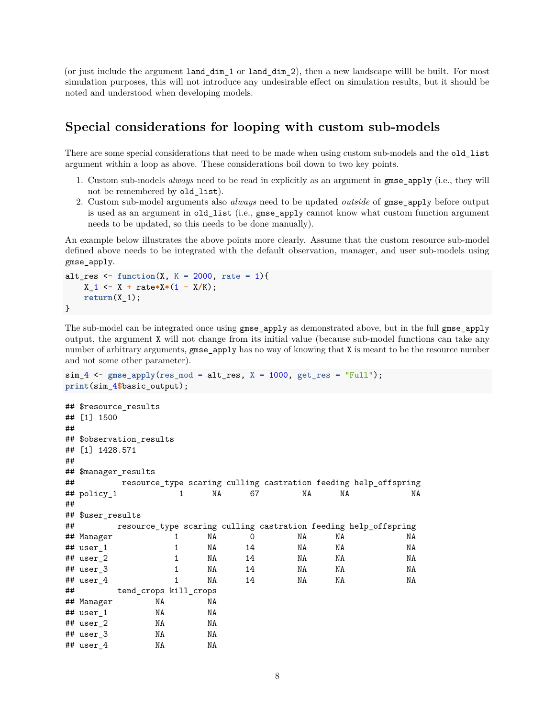(or just include the argument land\_dim\_1 or land\_dim\_2), then a new landscape willl be built. For most simulation purposes, this will not introduce any undesirable effect on simulation results, but it should be noted and understood when developing models.

#### **Special considerations for looping with custom sub-models**

There are some special considerations that need to be made when using custom sub-models and the old\_list argument within a loop as above. These considerations boil down to two key points.

- 1. Custom sub-models *always* need to be read in explicitly as an argument in gmse\_apply (i.e., they will not be remembered by old list).
- 2. Custom sub-model arguments also *always* need to be updated *outside* of gmse\_apply before output is used as an argument in old\_list (i.e., gmse\_apply cannot know what custom function argument needs to be updated, so this needs to be done manually).

An example below illustrates the above points more clearly. Assume that the custom resource sub-model defined above needs to be integrated with the default observation, manager, and user sub-models using gmse\_apply.

```
alt_res \le function(X, K = 2000, rate = 1){
   X_1 <- X + rate*X*(1 - X/K);
   return(X_1);}
```
The sub-model can be integrated once using gmse\_apply as demonstrated above, but in the full gmse\_apply output, the argument X will not change from its initial value (because sub-model functions can take any number of arbitrary arguments, gmse\_apply has no way of knowing that X is meant to be the resource number and not some other parameter).

```
sim_4 <- gmse_apply(res_mod = alt_res, X = 1000, get_res = "Full");
print(sim_4$basic_output);
## $resource_results
## [1] 1500
##
## $observation results
## [1] 1428.571
##
## $manager_results
## resource_type scaring culling castration feeding help_offspring
## policy_1 1 NA 67 NA NA NA
##
## $user_results
## resource_type scaring culling castration feeding help_offspring
## Manager 1 NA 0 NA NA NA
## user_1 1 NA 14 NA NA NA
## user_2 1 NA 14 NA NA NA
## user_3 1 NA 14 NA NA NA
## user_4 1 NA 14 NA NA NA
## tend_crops kill_crops
## Manager NA NA
## user_1 NA NA
## user_2 NA NA
## user_3 NA NA
## user_4 NA NA
```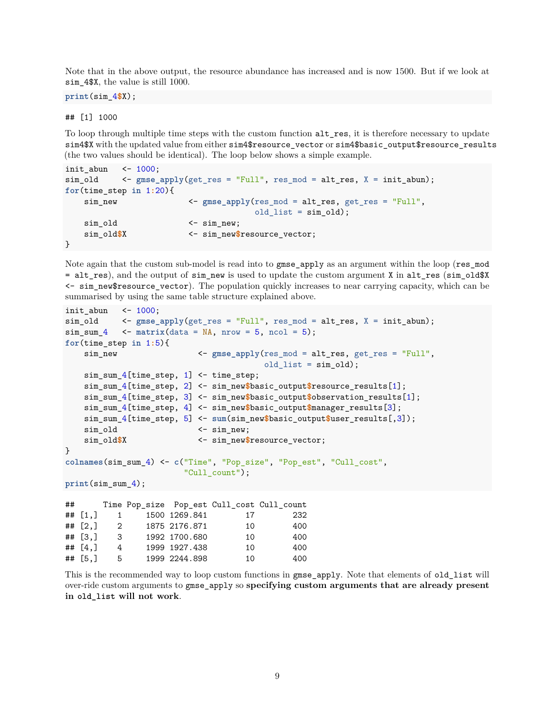Note that in the above output, the resource abundance has increased and is now 1500. But if we look at sim 4\$X, the value is still 1000.

**print**(sim\_4**\$**X);

## [1] 1000

To loop through multiple time steps with the custom function alt res, it is therefore necessary to update sim4\$X with the updated value from either sim4\$resource\_vector or sim4\$basic\_output\$resource\_results (the two values should be identical). The loop below shows a simple example.

```
init abun \leq 1000;
sim_old <- gmse_apply(get_res = "Full", res_mod = alt_res, X = init_abun);
for(time_step in 1:20){
   sim_new <- gmse_apply(res_mod = alt_res, get_res = "Full",
                                  old_list = sim\_old);sim_old <- sim_new;
   sim_old$X <- sim_new$resource_vector;
}
```
Note again that the custom sub-model is read into to gmse\_apply as an argument within the loop (res\_mod = alt res), and the output of sim new is used to update the custom argument X in alt res (sim old\$X  $\leq$  sim new \$resource vector). The population quickly increases to near carrying capacity, which can be summarised by using the same table structure explained above.

```
init abun \leq 1000;
sim_old <- gmse_apply(get_res = "Full", res_mod = alt_res, X = init_abun);
sim\_sum_4 <- matrix(data = NA, nrow = 5, ncol = 5);for(time_step in 1:5){
   sim_new <- gmse_apply(res_mod = alt_res, get_res = "Full",
                                      old list = sim old);sim_sum_4[time_step, 1] <- time_step;
   sim_sum_4[time_step, 2] <- sim_new$basic_output$resource_results[1];
   sim_sum_4[time_step, 3] <- sim_new$basic_output$observation_results[1];
   sim_sum_4[time_step, 4] <- sim_new$basic_output$manager_results[3];
   sim_sum_4[time_step, 5] <- sum(sim_new$basic_output$user_results[,3]);
   sim_old <- sim_new;
   sim_old$X <- sim_new$resource_vector;
}
colnames(sim_sum_4) <- c("Time", "Pop_size", "Pop_est", "Cull_cost",
                       "Cull_count");
print(sim_sum_4);
## Time Pop_size Pop_est Cull_cost Cull_count
## [1,] 1 1500 1269.841 17 232
```
## [2,] 2 1875 2176.871 10 400 ## [3,] 3 1992 1700.680 10 400 ## [4,] 4 1999 1927.438 10 400 ## [5,] 5 1999 2244.898 10 400

This is the recommended way to loop custom functions in gmse\_apply. Note that elements of old\_list will over-ride custom arguments to gmse\_apply so **specifying custom arguments that are already present in old\_list will not work**.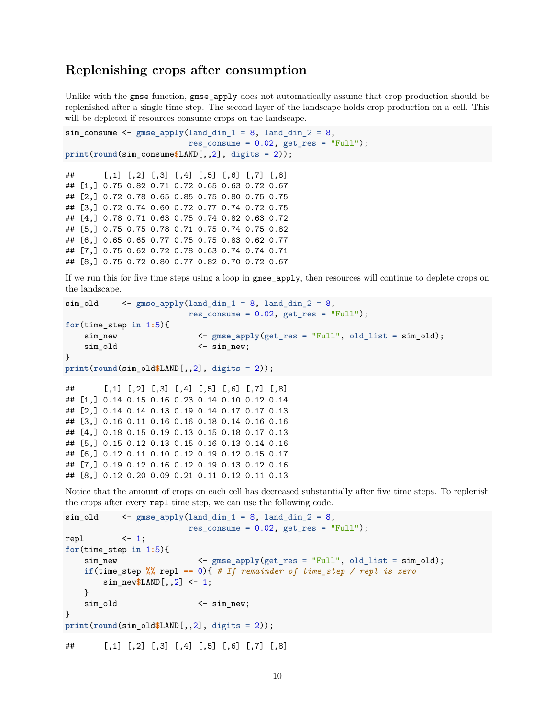#### **Replenishing crops after consumption**

Unlike with the gmse function, gmse\_apply does not automatically assume that crop production should be replenished after a single time step. The second layer of [the landscape](#page-0-0) holds crop production on a cell. This will be depleted if resources consume crops on the landscape.

```
sim\_consume <- gmse\_apply(land_dim_1 = 8, land_dim_2 = 8,
                           res_{\text{consume}} = 0.02, get_{\text{res}} = "Full");print(round(sim_consume$LAND[,,2], digits = 2));
## [,1] [,2] [,3] [,4] [,5] [,6] [,7] [,8]
## [1,] 0.75 0.82 0.71 0.72 0.65 0.63 0.72 0.67
## [2,] 0.72 0.78 0.65 0.85 0.75 0.80 0.75 0.75
## [3,] 0.72 0.74 0.60 0.72 0.77 0.74 0.72 0.75
## [4,] 0.78 0.71 0.63 0.75 0.74 0.82 0.63 0.72
## [5,] 0.75 0.75 0.78 0.71 0.75 0.74 0.75 0.82
## [6,] 0.65 0.65 0.77 0.75 0.75 0.83 0.62 0.77
## [7,] 0.75 0.62 0.72 0.78 0.63 0.74 0.74 0.71
## [8,] 0.75 0.72 0.80 0.77 0.82 0.70 0.72 0.67
```
If we run this for five time steps using a loop in gmse\_apply, then resources will continue to deplete crops on the landscape.

```
sim\_old <- gmse\_apply(land\_dim_1 = 8, land\_dim_2 = 8,res_{\text{c}onsume} = 0.02, get_{\text{res}} = "Full");for(time_step in 1:5){
   sim_new <- gmse_apply(get_res = "Full", old_list = sim_old);
   sim_old <- sim_new;
}
print(round(sim_old$LAND[,,2], digits = 2));
## [,1] [,2] [,3] [,4] [,5] [,6] [,7] [,8]
## [1,] 0.14 0.15 0.16 0.23 0.14 0.10 0.12 0.14
## [2,] 0.14 0.14 0.13 0.19 0.14 0.17 0.17 0.13
## [3,] 0.16 0.11 0.16 0.16 0.18 0.14 0.16 0.16
## [4,] 0.18 0.15 0.19 0.13 0.15 0.18 0.17 0.13
## [5,] 0.15 0.12 0.13 0.15 0.16 0.13 0.14 0.16
## [6,] 0.12 0.11 0.10 0.12 0.19 0.12 0.15 0.17
## [7,] 0.19 0.12 0.16 0.12 0.19 0.13 0.12 0.16
## [8,] 0.12 0.20 0.09 0.21 0.11 0.12 0.11 0.13
```
Notice that the amount of crops on each cell has decreased substantially after five time steps. To replenish the crops after every repl time step, we can use the following code.

```
sim\_old <- gmse\_apply(land\_dim_1 = 8, land\_dim_2 = 8,res_{\text{c}onsume} = 0.02, get_{\text{res}} = "Full");repl \langle -1;for(time_step in 1:5){
   sim_new <- gmse_apply(get_res = "Full", old_list = sim_old);
   if(time_step %% repl == 0){ # If remainder of time_step / repl is zero
       sim_new$LAND[,,2] <- 1;
   }
   sim_old \leftarrow sim_new;
}
print(round(sim_old$LAND[,,2], digits = 2));
## [,1] [,2] [,3] [,4] [,5] [,6] [,7] [,8]
```